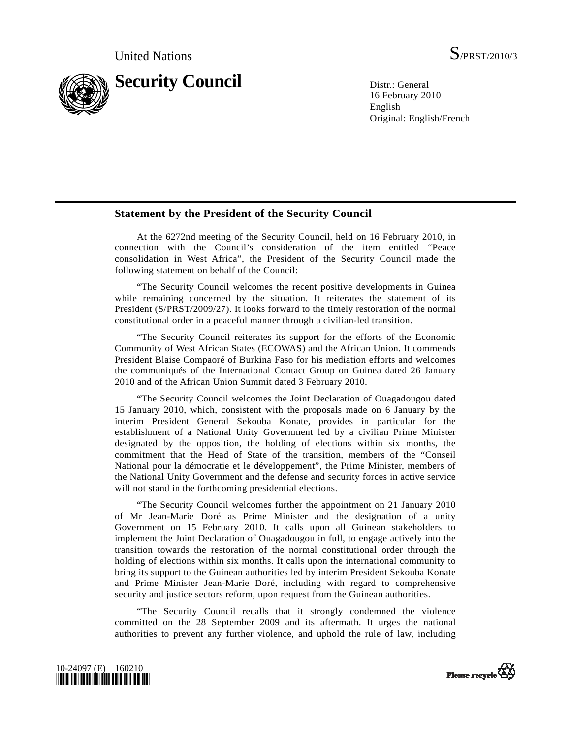

16 February 2010 English Original: English/French

## **Statement by the President of the Security Council**

 At the 6272nd meeting of the Security Council, held on 16 February 2010, in connection with the Council's consideration of the item entitled "Peace consolidation in West Africa", the President of the Security Council made the following statement on behalf of the Council:

 "The Security Council welcomes the recent positive developments in Guinea while remaining concerned by the situation. It reiterates the statement of its President (S/PRST/2009/27). It looks forward to the timely restoration of the normal constitutional order in a peaceful manner through a civilian-led transition.

 "The Security Council reiterates its support for the efforts of the Economic Community of West African States (ECOWAS) and the African Union. It commends President Blaise Compaoré of Burkina Faso for his mediation efforts and welcomes the communiqués of the International Contact Group on Guinea dated 26 January 2010 and of the African Union Summit dated 3 February 2010.

 "The Security Council welcomes the Joint Declaration of Ouagadougou dated 15 January 2010, which, consistent with the proposals made on 6 January by the interim President General Sekouba Konate, provides in particular for the establishment of a National Unity Government led by a civilian Prime Minister designated by the opposition, the holding of elections within six months, the commitment that the Head of State of the transition, members of the "Conseil National pour la démocratie et le développement", the Prime Minister, members of the National Unity Government and the defense and security forces in active service will not stand in the forthcoming presidential elections.

 "The Security Council welcomes further the appointment on 21 January 2010 of Mr Jean-Marie Doré as Prime Minister and the designation of a unity Government on 15 February 2010. It calls upon all Guinean stakeholders to implement the Joint Declaration of Ouagadougou in full, to engage actively into the transition towards the restoration of the normal constitutional order through the holding of elections within six months. It calls upon the international community to bring its support to the Guinean authorities led by interim President Sekouba Konate and Prime Minister Jean-Marie Doré, including with regard to comprehensive security and justice sectors reform, upon request from the Guinean authorities.

 "The Security Council recalls that it strongly condemned the violence committed on the 28 September 2009 and its aftermath. It urges the national authorities to prevent any further violence, and uphold the rule of law, including